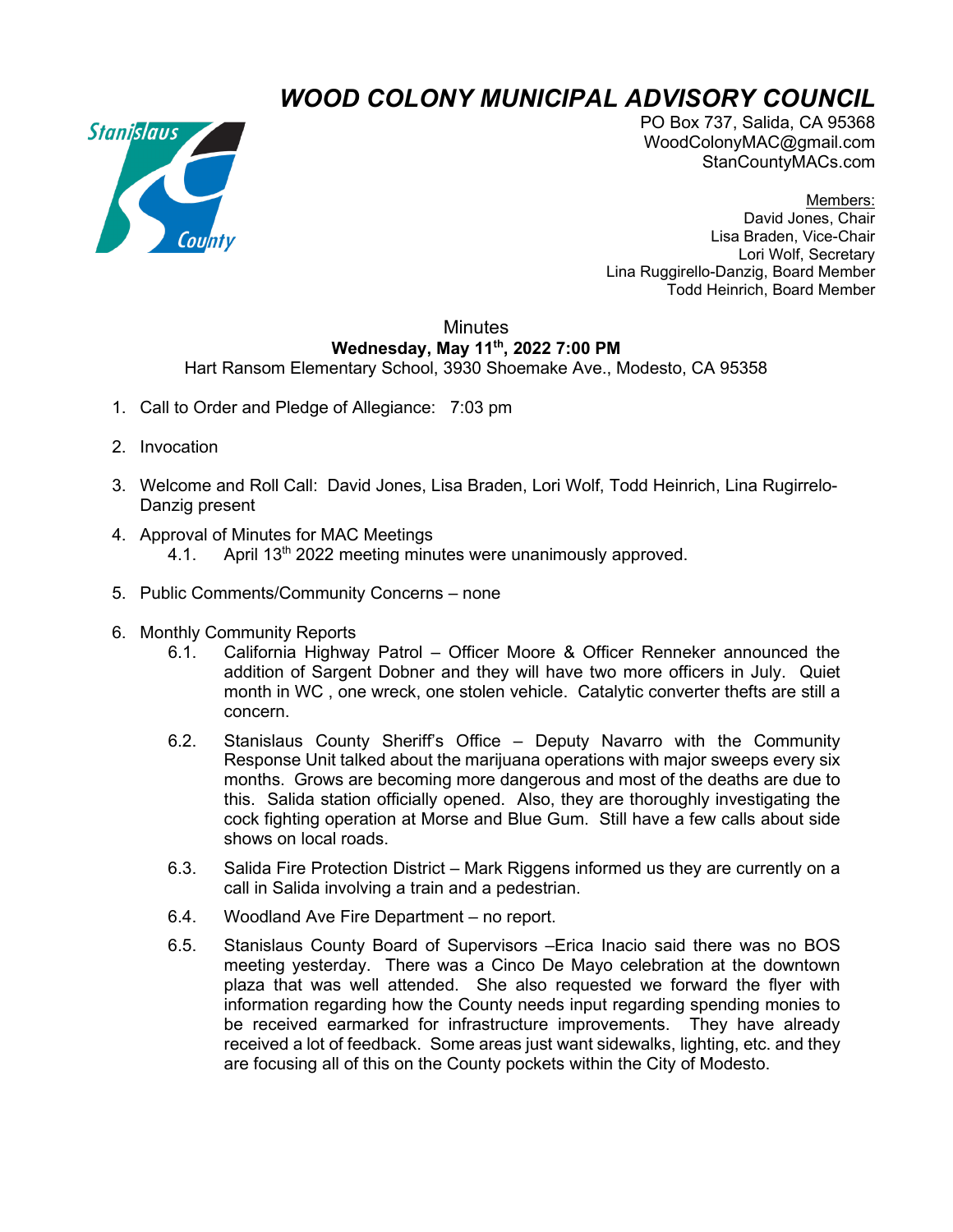## *WOOD COLONY MUNICIPAL ADVISORY COUNCIL*



PO Box 737, Salida, CA 95368 WoodColonyMAC@gmail.com StanCountyMACs.com

Members: David Jones, Chair Lisa Braden, Vice-Chair Lori Wolf, Secretary Lina Ruggirello-Danzig, Board Member Todd Heinrich, Board Member

## **Minutes Wednesday, May 11th, 2022 7:00 PM**

Hart Ransom Elementary School, 3930 Shoemake Ave., Modesto, CA 95358

- 1. Call to Order and Pledge of Allegiance: 7:03 pm
- 2. Invocation
- 3. Welcome and Roll Call: David Jones, Lisa Braden, Lori Wolf, Todd Heinrich, Lina Rugirrelo-Danzig present
- 4. Approval of Minutes for MAC Meetings 4.1. April  $13<sup>th</sup> 2022$  meeting minutes were unanimously approved.
- 5. Public Comments/Community Concerns none
- 6. Monthly Community Reports
	- 6.1. California Highway Patrol Officer Moore & Officer Renneker announced the addition of Sargent Dobner and they will have two more officers in July. Quiet month in WC , one wreck, one stolen vehicle. Catalytic converter thefts are still a concern.
	- 6.2. Stanislaus County Sheriff's Office Deputy Navarro with the Community Response Unit talked about the marijuana operations with major sweeps every six months. Grows are becoming more dangerous and most of the deaths are due to this. Salida station officially opened. Also, they are thoroughly investigating the cock fighting operation at Morse and Blue Gum. Still have a few calls about side shows on local roads.
	- 6.3. Salida Fire Protection District Mark Riggens informed us they are currently on a call in Salida involving a train and a pedestrian.
	- 6.4. Woodland Ave Fire Department no report.
	- 6.5. Stanislaus County Board of Supervisors –Erica Inacio said there was no BOS meeting yesterday. There was a Cinco De Mayo celebration at the downtown plaza that was well attended. She also requested we forward the flyer with information regarding how the County needs input regarding spending monies to be received earmarked for infrastructure improvements. They have already received a lot of feedback. Some areas just want sidewalks, lighting, etc. and they are focusing all of this on the County pockets within the City of Modesto.